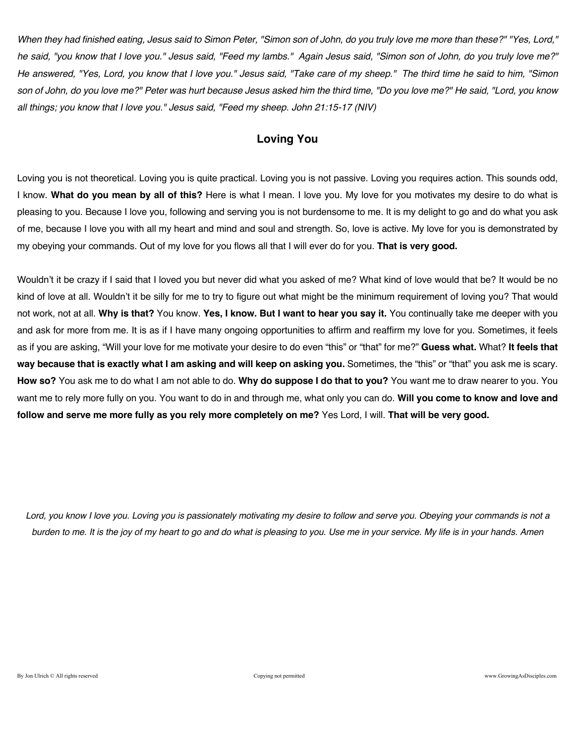*When they had finished eating, Jesus said to Simon Peter, "Simon son of John, do you truly love me more than these?" "Yes, Lord," he said, "you know that I love you." Jesus said, "Feed my lambs." Again Jesus said, "Simon son of John, do you truly love me?" He answered, "Yes, Lord, you know that I love you." Jesus said, "Take care of my sheep." The third time he said to him, "Simon*  son of John, do you love me?" Peter was hurt because Jesus asked him the third time, "Do you love me?" He said, "Lord, you know *all things; you know that I love you." Jesus said, "Feed my sheep. John 21:15-17 (NIV)* 

## **Loving You**

Loving you is not theoretical. Loving you is quite practical. Loving you is not passive. Loving you requires action. This sounds odd, I know. **What do you mean by all of this?** Here is what I mean. I love you. My love for you motivates my desire to do what is pleasing to you. Because I love you, following and serving you is not burdensome to me. It is my delight to go and do what you ask of me, because I love you with all my heart and mind and soul and strength. So, love is active. My love for you is demonstrated by my obeying your commands. Out of my love for you flows all that I will ever do for you. **That is very good.**

Wouldn't it be crazy if I said that I loved you but never did what you asked of me? What kind of love would that be? It would be no kind of love at all. Wouldn't it be silly for me to try to figure out what might be the minimum requirement of loving you? That would not work, not at all. **Why is that?** You know. **Yes, I know. But I want to hear you say it.** You continually take me deeper with you and ask for more from me. It is as if I have many ongoing opportunities to affirm and reaffirm my love for you. Sometimes, it feels as if you are asking, "Will your love for me motivate your desire to do even "this" or "that" for me?" **Guess what.** What? **It feels that way because that is exactly what I am asking and will keep on asking you.** Sometimes, the "this" or "that" you ask me is scary. **How so?** You ask me to do what I am not able to do. **Why do suppose I do that to you?** You want me to draw nearer to you. You want me to rely more fully on you. You want to do in and through me, what only you can do. **Will you come to know and love and follow and serve me more fully as you rely more completely on me?** Yes Lord, I will. **That will be very good.**

*Lord, you know I love you. Loving you is passionately motivating my desire to follow and serve you. Obeying your commands is not a burden to me. It is the joy of my heart to go and do what is pleasing to you. Use me in your service. My life is in your hands. Amen*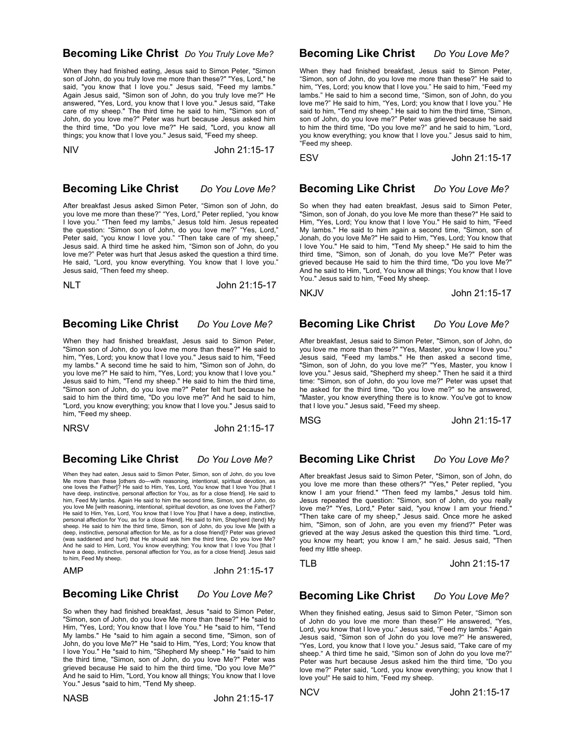### **Becoming Like Christ** *Do You Truly Love Me?*

When they had finished eating, Jesus said to Simon Peter, "Simon son of John, do you truly love me more than these?" "Yes, Lord," he said, "you know that I love you." Jesus said, "Feed my lambs." Again Jesus said, "Simon son of John, do you truly love me?" He answered, "Yes, Lord, you know that I love you." Jesus said, "Take care of my sheep." The third time he said to him, "Simon son of John, do you love me?" Peter was hurt because Jesus asked him the third time, "Do you love me?" He said, "Lord, you know all things; you know that I love you." Jesus said, "Feed my sheep.

NIV John 21:15-17

### **Becoming Like Christ** *Do You Love Me?*

After breakfast Jesus asked Simon Peter, "Simon son of John, do you love me more than these?" "Yes, Lord," Peter replied, "you know I love you." "Then feed my lambs," Jesus told him. Jesus repeated the question: "Simon son of John, do you love me?" "Yes, Lord," Peter said, "you know I love you." "Then take care of my sheep," Jesus said. A third time he asked him, "Simon son of John, do you love me?" Peter was hurt that Jesus asked the question a third time. He said, "Lord, you know everything. You know that I love you." Jesus said, "Then feed my sheep.

NLT John 21:15-17

### **Becoming Like Christ** *Do You Love Me?*

When they had finished breakfast, Jesus said to Simon Peter, "Simon son of John, do you love me more than these?" He said to him, "Yes, Lord; you know that I love you." Jesus said to him, "Feed my lambs." A second time he said to him, "Simon son of John, do you love me?" He said to him, "Yes, Lord; you know that I love you." Jesus said to him, "Tend my sheep." He said to him the third time, "Simon son of John, do you love me?" Peter felt hurt because he said to him the third time, "Do you love me?" And he said to him, "Lord, you know everything; you know that I love you." Jesus said to him, "Feed my sheep.

NRSV John 21:15-17

## **Becoming Like Christ** *Do You Love Me?*

When they had eaten, Jesus said to Simon Peter, Simon, son of John, do you love Me more than these [others do—with reasoning, intentional, spiritual devotion, as one loves the Father]? He said to Him, Yes, Lord, You know that I love You [that I have deep, instinctive, personal affection for You, as for a close friend]. He said to him, Feed My lambs. Again He said to him the second time, Simon, son of John, do you love Me [with reasoning, intentional, spiritual devotion, as one loves the Father]? He said to Him, Yes, Lord, You know that I love You [that I have a deep, instinctive, personal affection for You, as for a close friend]. He said to him, Shepherd (tend) My sheep. He said to him the third time, Simon, son of John, do you love Me [with a deep, instinctive, personal affection for Me, as for a close friend]? Peter was grieved (was saddened and hurt) that He should ask him the third time, Do you love Me? And he said to Him, Lord, You know everything; You know that I love You [that I have a deep, instinctive, personal affection for You, as for a close friend]. Jesus said to him, Feed My sheep.

AMP John 21:15-17

### **Becoming Like Christ** *Do You Love Me?*

So when they had finished breakfast, Jesus \*said to Simon Peter, "Simon, son of John, do you love Me more than these?" He \*said to Him, "Yes, Lord; You know that I love You." He \*said to him, "Tend My lambs." He \*said to him again a second time, "Simon, son of John, do you love Me?" He \*said to Him, "Yes, Lord; You know that I love You." He \*said to him, "Shepherd My sheep." He \*said to him the third time, "Simon, son of John, do you love Me?" Peter was grieved because He said to him the third time, "Do you love Me?" And he said to Him, "Lord, You know all things; You know that I love You." Jesus \*said to him, "Tend My sheep.

### **Becoming Like Christ** *Do You Love Me?*

When they had finished breakfast, Jesus said to Simon Peter, "Simon, son of John, do you love me more than these?" He said to him, "Yes, Lord; you know that I love you." He said to him, "Feed my lambs." He said to him a second time, "Simon, son of John, do you love me?" He said to him, "Yes, Lord; you know that I love you." He said to him, "Tend my sheep." He said to him the third time, "Simon, son of John, do you love me?" Peter was grieved because he said to him the third time, "Do you love me?" and he said to him, "Lord, you know everything; you know that I love you." Jesus said to him, "Feed my sheep.

ESV John 21:15-17

### **Becoming Like Christ** *Do You Love Me?*

So when they had eaten breakfast, Jesus said to Simon Peter, "Simon, son of Jonah, do you love Me more than these?" He said to Him, "Yes, Lord; You know that I love You." He said to him, "Feed My lambs." He said to him again a second time, "Simon, son of Jonah, do you love Me?" He said to Him, "Yes, Lord; You know that I love You." He said to him, "Tend My sheep." He said to him the third time, "Simon, son of Jonah, do you love Me?" Peter was grieved because He said to him the third time, "Do you love Me?" And he said to Him, "Lord, You know all things; You know that I love You." Jesus said to him, "Feed My sheep.

NKJV John 21:15-17

## **Becoming Like Christ** *Do You Love Me?*

After breakfast, Jesus said to Simon Peter, "Simon, son of John, do you love me more than these?" "Yes, Master, you know I love you." Jesus said, "Feed my lambs." He then asked a second time, "Simon, son of John, do you love me?" "Yes, Master, you know I love you." Jesus said, "Shepherd my sheep." Then he said it a third time: "Simon, son of John, do you love me?" Peter was upset that he asked for the third time, "Do you love me?" so he answered, "Master, you know everything there is to know. You've got to know that I love you." Jesus said, "Feed my sheep.

MSG John 21:15-17

## **Becoming Like Christ** *Do You Love Me?*

After breakfast Jesus said to Simon Peter, "Simon, son of John, do you love me more than these others?" "Yes," Peter replied, "you know I am your friend." "Then feed my lambs," Jesus told him. Jesus repeated the question: "Simon, son of John, do you really love me?" "Yes, Lord," Peter said, "you know I am your friend." "Then take care of my sheep," Jesus said. Once more he asked him, "Simon, son of John, are you even my friend?" Peter was grieved at the way Jesus asked the question this third time. "Lord, you know my heart; you know I am," he said. Jesus said, "Then feed my little sheep.

TLB John 21:15-17

### **Becoming Like Christ** *Do You Love Me?*

When they finished eating, Jesus said to Simon Peter, "Simon son of John do you love me more than these?" He answered, "Yes, Lord, you know that I love you." Jesus said, "Feed my lambs." Again Jesus said, "Simon son of John do you love me?" He answered, "Yes, Lord, you know that I love you." Jesus said, "Take care of my sheep." A third time he said, "Simon son of John do you love me?" Peter was hurt because Jesus asked him the third time, "Do you love me?" Peter said, "Lord, you know everything; you know that I love you!" He said to him, "Feed my sheep.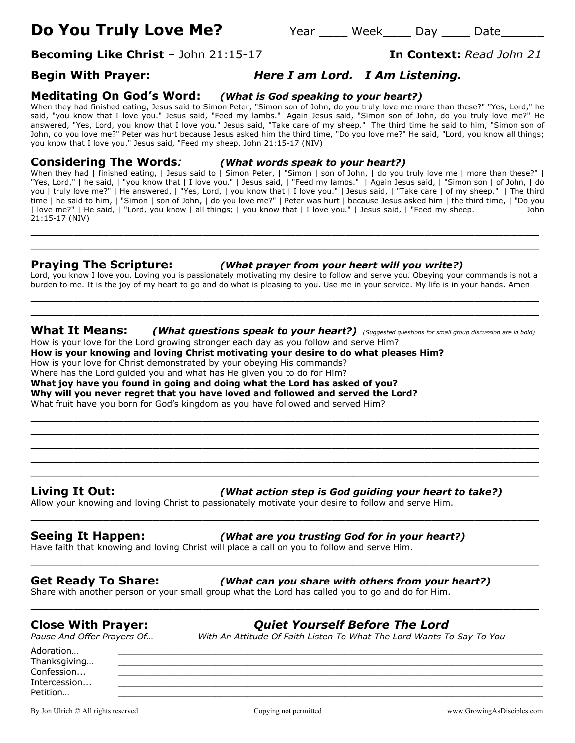# **Do You Truly Love Me?** Year Meek Large Day Late

**Becoming Like Christ** – John 21:15-17 **In Context:** *Read John 21*

## **Begin With Prayer:** *Here I am Lord. I Am Listening.*

## **Meditating On God's Word:** *(What is God speaking to your heart?)*

When they had finished eating, Jesus said to Simon Peter, "Simon son of John, do you truly love me more than these?" "Yes, Lord," he said, "you know that I love you." Jesus said, "Feed my lambs." Again Jesus said, "Simon son of John, do you truly love me?" He answered, "Yes, Lord, you know that I love you." Jesus said, "Take care of my sheep." The third time he said to him, "Simon son of John, do you love me?" Peter was hurt because Jesus asked him the third time, "Do you love me?" He said, "Lord, you know all things; you know that I love you." Jesus said, "Feed my sheep. John 21:15-17 (NIV)

## **Considering The Words***: (What words speak to your heart?)*

When they had | finished eating, | Jesus said to | Simon Peter, | "Simon | son of John, | do you truly love me | more than these?" | "Yes, Lord," | he said, | "you know that | I love you." | Jesus said, | "Feed my lambs." | Again Jesus said, | "Simon son | of John, | do you | truly love me?" | He answered, | "Yes, Lord, | you know that | I love you." | Jesus said, | "Take care | of my sheep." | The third time | he said to him, | "Simon | son of John, | do you love me?" | Peter was hurt | because Jesus asked him | the third time, | "Do you | love me?" | He said, | "Lord, you know | all things; | you know that | I love you." | Jesus said, | "Feed my sheep. John 21:15-17 (NIV)

\_\_\_\_\_\_\_\_\_\_\_\_\_\_\_\_\_\_\_\_\_\_\_\_\_\_\_\_\_\_\_\_\_\_\_\_\_\_\_\_\_\_\_\_\_\_\_\_\_\_\_\_\_\_\_\_\_\_\_\_\_\_\_\_\_\_\_\_\_\_\_  $\_$  , and the set of the set of the set of the set of the set of the set of the set of the set of the set of the set of the set of the set of the set of the set of the set of the set of the set of the set of the set of th

## **Praying The Scripture:** *(What prayer from your heart will you write?)*

Lord, you know I love you. Loving you is passionately motivating my desire to follow and serve you. Obeying your commands is not a burden to me. It is the joy of my heart to go and do what is pleasing to you. Use me in your service. My life is in your hands. Amen  $\_$  , and the contribution of the contribution of  $\mathcal{L}$  , and  $\mathcal{L}$  , and  $\mathcal{L}$  , and  $\mathcal{L}$  , and  $\mathcal{L}$  , and  $\mathcal{L}$  , and  $\mathcal{L}$  , and  $\mathcal{L}$  , and  $\mathcal{L}$  , and  $\mathcal{L}$  , and  $\mathcal{L}$  , and  $\mathcal{L$ 

### **What It Means:** *(What questions speak to your heart?) (Suggested questions for small group discussion are in bold)* How is your love for the Lord growing stronger each day as you follow and serve Him?

\_\_\_\_\_\_\_\_\_\_\_\_\_\_\_\_\_\_\_\_\_\_\_\_\_\_\_\_\_\_\_\_\_\_\_\_\_\_\_\_\_\_\_\_\_\_\_\_\_\_\_\_\_\_\_\_\_\_\_\_\_\_\_\_\_\_\_\_\_\_\_ \_\_\_\_\_\_\_\_\_\_\_\_\_\_\_\_\_\_\_\_\_\_\_\_\_\_\_\_\_\_\_\_\_\_\_\_\_\_\_\_\_\_\_\_\_\_\_\_\_\_\_\_\_\_\_\_\_\_\_\_\_\_\_\_\_\_\_\_\_\_\_ \_\_\_\_\_\_\_\_\_\_\_\_\_\_\_\_\_\_\_\_\_\_\_\_\_\_\_\_\_\_\_\_\_\_\_\_\_\_\_\_\_\_\_\_\_\_\_\_\_\_\_\_\_\_\_\_\_\_\_\_\_\_\_\_\_\_\_\_\_\_\_ \_\_\_\_\_\_\_\_\_\_\_\_\_\_\_\_\_\_\_\_\_\_\_\_\_\_\_\_\_\_\_\_\_\_\_\_\_\_\_\_\_\_\_\_\_\_\_\_\_\_\_\_\_\_\_\_\_\_\_\_\_\_\_\_\_\_\_\_\_\_\_ \_\_\_\_\_\_\_\_\_\_\_\_\_\_\_\_\_\_\_\_\_\_\_\_\_\_\_\_\_\_\_\_\_\_\_\_\_\_\_\_\_\_\_\_\_\_\_\_\_\_\_\_\_\_\_\_\_\_\_\_\_\_\_\_\_\_\_\_\_\_\_

\_\_\_\_\_\_\_\_\_\_\_\_\_\_\_\_\_\_\_\_\_\_\_\_\_\_\_\_\_\_\_\_\_\_\_\_\_\_\_\_\_\_\_\_\_\_\_\_\_\_\_\_\_\_\_\_\_\_\_\_\_\_\_\_\_\_\_\_\_\_\_

\_\_\_\_\_\_\_\_\_\_\_\_\_\_\_\_\_\_\_\_\_\_\_\_\_\_\_\_\_\_\_\_\_\_\_\_\_\_\_\_\_\_\_\_\_\_\_\_\_\_\_\_\_\_\_\_\_\_\_\_\_\_\_\_\_\_\_\_\_\_\_

\_\_\_\_\_\_\_\_\_\_\_\_\_\_\_\_\_\_\_\_\_\_\_\_\_\_\_\_\_\_\_\_\_\_\_\_\_\_\_\_\_\_\_\_\_\_\_\_\_\_\_\_\_\_\_\_\_\_\_\_\_\_\_\_\_\_\_\_\_\_\_

 $\_$  , and the set of the set of the set of the set of the set of the set of the set of the set of the set of the set of the set of the set of the set of the set of the set of the set of the set of the set of the set of th

**How is your knowing and loving Christ motivating your desire to do what pleases Him?**

How is your love for Christ demonstrated by your obeying His commands?

Where has the Lord guided you and what has He given you to do for Him?

**What joy have you found in going and doing what the Lord has asked of you?**

**Why will you never regret that you have loved and followed and served the Lord?**

What fruit have you born for God's kingdom as you have followed and served Him?

## **Living It Out:** *(What action step is God guiding your heart to take?)*

Allow your knowing and loving Christ to passionately motivate your desire to follow and serve Him.

## **Seeing It Happen:** *(What are you trusting God for in your heart?)*

Have faith that knowing and loving Christ will place a call on you to follow and serve Him.

### **Get Ready To Share:** *(What can you share with others from your heart?)*

Share with another person or your small group what the Lord has called you to go and do for Him.

## **Close With Prayer:** *Quiet Yourself Before The Lord*

*Pause And Offer Prayers Of… With An Attitude Of Faith Listen To What The Lord Wants To Say To You*

Adoration… \_\_\_\_\_\_\_\_\_\_\_\_\_\_\_\_\_\_\_\_\_\_\_\_\_\_\_\_\_\_\_\_\_\_\_\_\_\_\_\_\_\_\_\_\_\_\_\_\_\_\_\_\_\_\_\_\_\_\_\_\_\_\_\_\_\_\_\_\_\_\_\_\_\_\_\_\_\_\_ Thanksgiving...  $\textsf{Confession...}\qquad \qquad \underline{\hspace{2.5cm}}$ Intercession... Petition… \_\_\_\_\_\_\_\_\_\_\_\_\_\_\_\_\_\_\_\_\_\_\_\_\_\_\_\_\_\_\_\_\_\_\_\_\_\_\_\_\_\_\_\_\_\_\_\_\_\_\_\_\_\_\_\_\_\_\_\_\_\_\_\_\_\_\_\_\_\_\_\_\_\_\_\_\_\_\_

By Jon Ulrich © All rights reserved examples are compared comparing comparing the comparing of permitted www.GrowingAsDisciples.com